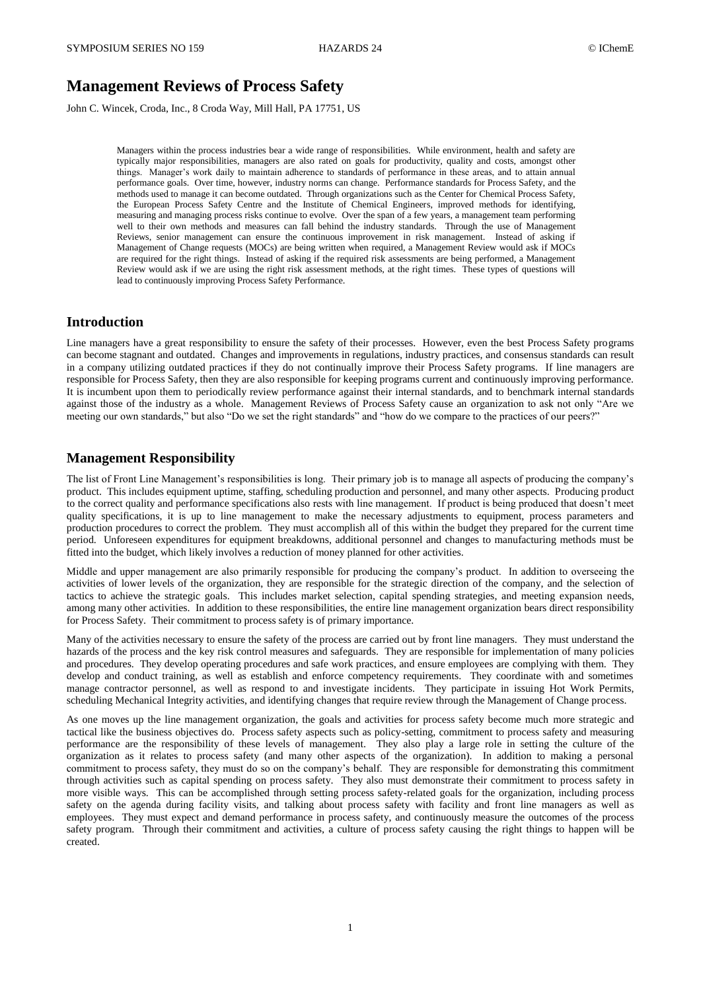# **Management Reviews of Process Safety**

John C. Wincek, Croda, Inc., 8 Croda Way, Mill Hall, PA 17751, US

Managers within the process industries bear a wide range of responsibilities. While environment, health and safety are typically major responsibilities, managers are also rated on goals for productivity, quality and costs, amongst other things. Manager's work daily to maintain adherence to standards of performance in these areas, and to attain annual performance goals. Over time, however, industry norms can change. Performance standards for Process Safety, and the methods used to manage it can become outdated. Through organizations such as the Center for Chemical Process Safety, the European Process Safety Centre and the Institute of Chemical Engineers, improved methods for identifying, measuring and managing process risks continue to evolve. Over the span of a few years, a management team performing well to their own methods and measures can fall behind the industry standards. Through the use of Management Reviews, senior management can ensure the continuous improvement in risk management. Instead of asking if Management of Change requests (MOCs) are being written when required, a Management Review would ask if MOCs are required for the right things. Instead of asking if the required risk assessments are being performed, a Management Review would ask if we are using the right risk assessment methods, at the right times. These types of questions will lead to continuously improving Process Safety Performance.

### **Introduction**

Line managers have a great responsibility to ensure the safety of their processes. However, even the best Process Safety programs can become stagnant and outdated. Changes and improvements in regulations, industry practices, and consensus standards can result in a company utilizing outdated practices if they do not continually improve their Process Safety programs. If line managers are responsible for Process Safety, then they are also responsible for keeping programs current and continuously improving performance. It is incumbent upon them to periodically review performance against their internal standards, and to benchmark internal standards against those of the industry as a whole. Management Reviews of Process Safety cause an organization to ask not only "Are we meeting our own standards," but also "Do we set the right standards" and "how do we compare to the practices of our peers?

### **Management Responsibility**

The list of Front Line Management's responsibilities is long. Their primary job is to manage all aspects of producing the company's product. This includes equipment uptime, staffing, scheduling production and personnel, and many other aspects. Producing product to the correct quality and performance specifications also rests with line management. If product is being produced that doesn't meet quality specifications, it is up to line management to make the necessary adjustments to equipment, process parameters and production procedures to correct the problem. They must accomplish all of this within the budget they prepared for the current time period. Unforeseen expenditures for equipment breakdowns, additional personnel and changes to manufacturing methods must be fitted into the budget, which likely involves a reduction of money planned for other activities.

Middle and upper management are also primarily responsible for producing the company's product. In addition to overseeing the activities of lower levels of the organization, they are responsible for the strategic direction of the company, and the selection of tactics to achieve the strategic goals. This includes market selection, capital spending strategies, and meeting expansion needs, among many other activities. In addition to these responsibilities, the entire line management organization bears direct responsibility for Process Safety. Their commitment to process safety is of primary importance.

Many of the activities necessary to ensure the safety of the process are carried out by front line managers. They must understand the hazards of the process and the key risk control measures and safeguards. They are responsible for implementation of many policies and procedures. They develop operating procedures and safe work practices, and ensure employees are complying with them. They develop and conduct training, as well as establish and enforce competency requirements. They coordinate with and sometimes manage contractor personnel, as well as respond to and investigate incidents. They participate in issuing Hot Work Permits, scheduling Mechanical Integrity activities, and identifying changes that require review through the Management of Change process.

As one moves up the line management organization, the goals and activities for process safety become much more strategic and tactical like the business objectives do. Process safety aspects such as policy-setting, commitment to process safety and measuring performance are the responsibility of these levels of management. They also play a large role in setting the culture of the organization as it relates to process safety (and many other aspects of the organization). In addition to making a personal commitment to process safety, they must do so on the company's behalf. They are responsible for demonstrating this commitment through activities such as capital spending on process safety. They also must demonstrate their commitment to process safety in more visible ways. This can be accomplished through setting process safety-related goals for the organization, including process safety on the agenda during facility visits, and talking about process safety with facility and front line managers as well as employees. They must expect and demand performance in process safety, and continuously measure the outcomes of the process safety program. Through their commitment and activities, a culture of process safety causing the right things to happen will be created.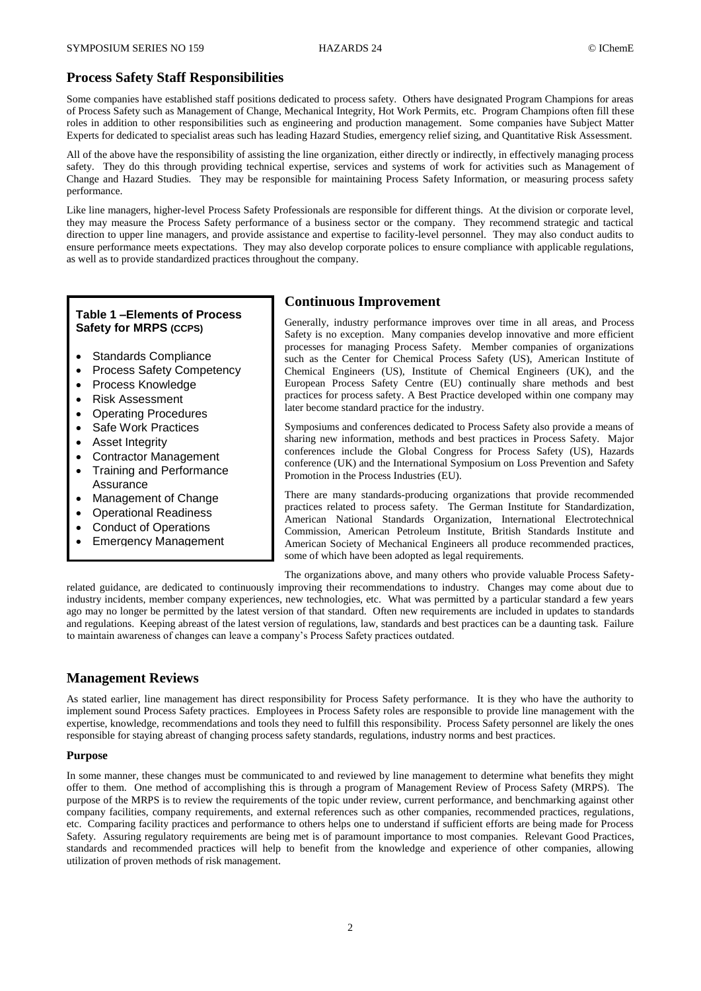### **Process Safety Staff Responsibilities**

Some companies have established staff positions dedicated to process safety. Others have designated Program Champions for areas of Process Safety such as Management of Change, Mechanical Integrity, Hot Work Permits, etc. Program Champions often fill these roles in addition to other responsibilities such as engineering and production management. Some companies have Subject Matter Experts for dedicated to specialist areas such has leading Hazard Studies, emergency relief sizing, and Quantitative Risk Assessment.

All of the above have the responsibility of assisting the line organization, either directly or indirectly, in effectively managing process safety. They do this through providing technical expertise, services and systems of work for activities such as Management of Change and Hazard Studies. They may be responsible for maintaining Process Safety Information, or measuring process safety performance.

Like line managers, higher-level Process Safety Professionals are responsible for different things. At the division or corporate level, they may measure the Process Safety performance of a business sector or the company. They recommend strategic and tactical direction to upper line managers, and provide assistance and expertise to facility-level personnel. They may also conduct audits to ensure performance meets expectations. They may also develop corporate polices to ensure compliance with applicable regulations, as well as to provide standardized practices throughout the company.

### **Table 1 –Elements of Process Safety for MRPS (CCPS)**

- Standards Compliance
- Process Safety Competency
- Process Knowledge
- Risk Assessment
- Operating Procedures
- Safe Work Practices
- Asset Integrity
- Contractor Management
- Training and Performance
- **Assurance**
- Management of Change
- Operational Readiness
- Conduct of Operations
- Emergency Management

### **Continuous Improvement**

Generally, industry performance improves over time in all areas, and Process Safety is no exception. Many companies develop innovative and more efficient processes for managing Process Safety. Member companies of organizations such as the Center for Chemical Process Safety (US), American Institute of Chemical Engineers (US), Institute of Chemical Engineers (UK), and the European Process Safety Centre (EU) continually share methods and best practices for process safety. A Best Practice developed within one company may later become standard practice for the industry.

Symposiums and conferences dedicated to Process Safety also provide a means of sharing new information, methods and best practices in Process Safety. Major conferences include the Global Congress for Process Safety (US), Hazards conference (UK) and the International Symposium on Loss Prevention and Safety Promotion in the Process Industries (EU).

There are many standards-producing organizations that provide recommended practices related to process safety. The German Institute for Standardization, American National Standards Organization, International Electrotechnical Commission, American Petroleum Institute, British Standards Institute and American Society of Mechanical Engineers all produce recommended practices, some of which have been adopted as legal requirements.

The organizations above, and many others who provide valuable Process Safetyrelated guidance, are dedicated to continuously improving their recommendations to industry. Changes may come about due to industry incidents, member company experiences, new technologies, etc. What was permitted by a particular standard a few years ago may no longer be permitted by the latest version of that standard. Often new requirements are included in updates to standards and regulations. Keeping abreast of the latest version of regulations, law, standards and best practices can be a daunting task. Failure to maintain awareness of changes can leave a company's Process Safety practices outdated.

### **Management Reviews**

As stated earlier, line management has direct responsibility for Process Safety performance. It is they who have the authority to implement sound Process Safety practices. Employees in Process Safety roles are responsible to provide line management with the expertise, knowledge, recommendations and tools they need to fulfill this responsibility. Process Safety personnel are likely the ones responsible for staying abreast of changing process safety standards, regulations, industry norms and best practices.

#### **Purpose**

In some manner, these changes must be communicated to and reviewed by line management to determine what benefits they might offer to them. One method of accomplishing this is through a program of Management Review of Process Safety (MRPS). The purpose of the MRPS is to review the requirements of the topic under review, current performance, and benchmarking against other company facilities, company requirements, and external references such as other companies, recommended practices, regulations, etc. Comparing facility practices and performance to others helps one to understand if sufficient efforts are being made for Process Safety. Assuring regulatory requirements are being met is of paramount importance to most companies. Relevant Good Practices, standards and recommended practices will help to benefit from the knowledge and experience of other companies, allowing utilization of proven methods of risk management.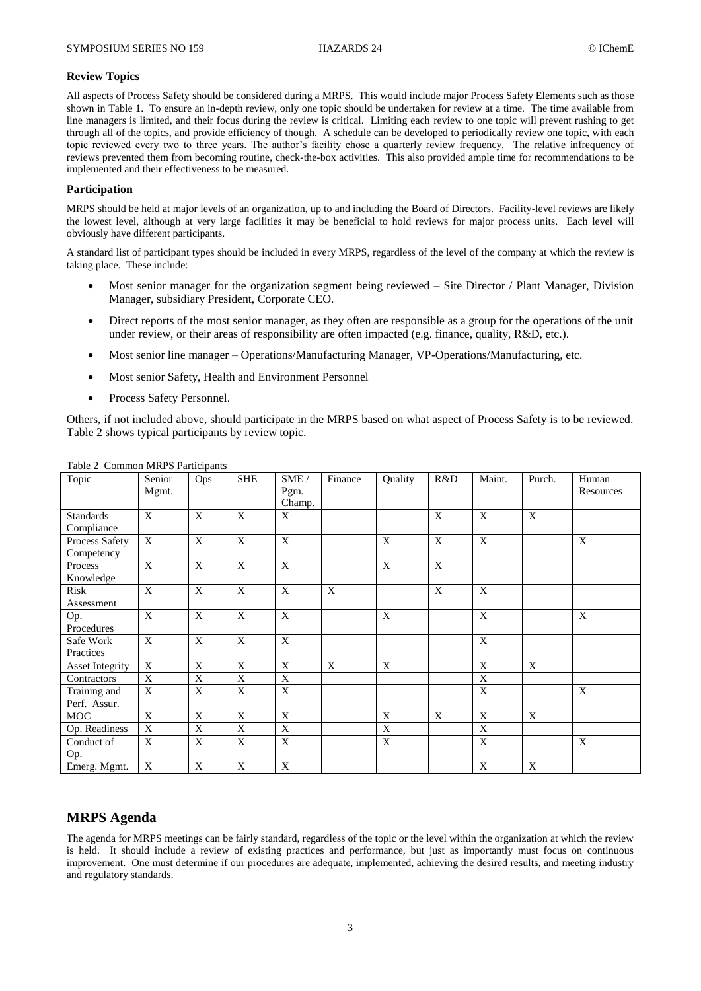#### **Review Topics**

All aspects of Process Safety should be considered during a MRPS. This would include major Process Safety Elements such as those shown in Table 1. To ensure an in-depth review, only one topic should be undertaken for review at a time. The time available from line managers is limited, and their focus during the review is critical. Limiting each review to one topic will prevent rushing to get through all of the topics, and provide efficiency of though. A schedule can be developed to periodically review one topic, with each topic reviewed every two to three years. The author's facility chose a quarterly review frequency. The relative infrequency of reviews prevented them from becoming routine, check-the-box activities. This also provided ample time for recommendations to be implemented and their effectiveness to be measured.

#### **Participation**

MRPS should be held at major levels of an organization, up to and including the Board of Directors. Facility-level reviews are likely the lowest level, although at very large facilities it may be beneficial to hold reviews for major process units. Each level will obviously have different participants.

A standard list of participant types should be included in every MRPS, regardless of the level of the company at which the review is taking place. These include:

- Most senior manager for the organization segment being reviewed Site Director / Plant Manager, Division Manager, subsidiary President, Corporate CEO.
- Direct reports of the most senior manager, as they often are responsible as a group for the operations of the unit under review, or their areas of responsibility are often impacted (e.g. finance, quality, R&D, etc.).
- Most senior line manager Operations/Manufacturing Manager, VP-Operations/Manufacturing, etc.
- Most senior Safety, Health and Environment Personnel
- Process Safety Personnel.

Others, if not included above, should participate in the MRPS based on what aspect of Process Safety is to be reviewed. Table 2 shows typical participants by review topic.

| Topic                          | Senior<br>Mgmt. | Ops         | <b>SHE</b>   | SME/<br>Pgm. | Finance      | Quality        | R&D          | Maint.      | Purch. | Human<br>Resources |
|--------------------------------|-----------------|-------------|--------------|--------------|--------------|----------------|--------------|-------------|--------|--------------------|
|                                |                 |             |              | Champ.       |              |                |              |             |        |                    |
| <b>Standards</b><br>Compliance | X               | X           | X            | X            |              |                | $\mathbf{X}$ | X           | X      |                    |
| Process Safety<br>Competency   | X               | X           | X            | X            |              | X              | $\mathbf{X}$ | X           |        | X                  |
| Process<br>Knowledge           | $\mathbf{X}$    | $\mathbf X$ | X            | X            |              | $\mathbf X$    | X            |             |        |                    |
| Risk<br>Assessment             | X               | X           | X            | X            | $\mathbf{x}$ |                | X            | X           |        |                    |
| Op.<br>Procedures              | $\mathbf{X}$    | $\mathbf X$ | $\mathbf{X}$ | $\mathbf{X}$ |              | $\mathbf X$    |              | $\mathbf X$ |        | X                  |
| Safe Work<br>Practices         | $\mathbf X$     | $\mathbf X$ | $\mathbf X$  | $\mathbf X$  |              |                |              | $\mathbf X$ |        |                    |
| <b>Asset Integrity</b>         | X               | X           | X            | X            | $\mathbf{X}$ | X              |              | X           | X      |                    |
| Contractors                    | X               | X           | X            | X            |              |                |              | X           |        |                    |
| Training and<br>Perf. Assur.   | X               | X           | X            | X            |              |                |              | X           |        | X                  |
| <b>MOC</b>                     | X               | X           | X            | X            |              | X              | $\mathbf{X}$ | X           | X      |                    |
| Op. Readiness                  | X               | X           | $\mathbf X$  | $\mathbf X$  |              | $\overline{X}$ |              | X           |        |                    |
| Conduct of<br>Op.              | X               | X           | X            | X            |              | $\mathbf X$    |              | X           |        | X                  |
| Emerg. Mgmt.                   | X               | X           | X            | $\mathbf X$  |              |                |              | X           | X      |                    |

Table 2 Common MRPS Participants

### **MRPS Agenda**

The agenda for MRPS meetings can be fairly standard, regardless of the topic or the level within the organization at which the review is held. It should include a review of existing practices and performance, but just as importantly must focus on continuous improvement. One must determine if our procedures are adequate, implemented, achieving the desired results, and meeting industry and regulatory standards.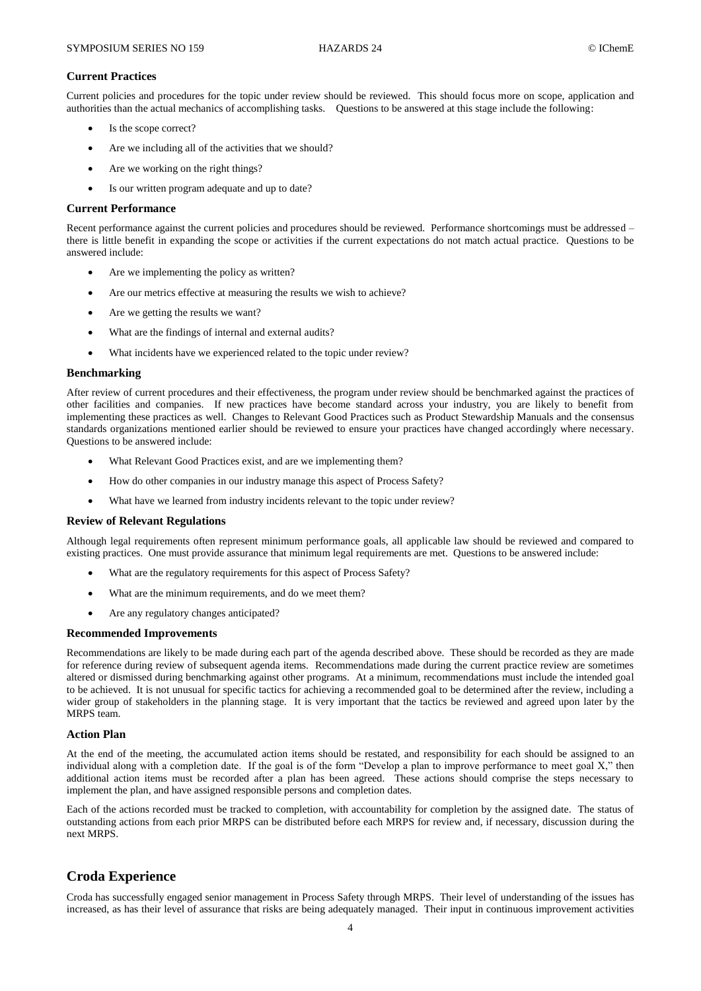#### **Current Practices**

Current policies and procedures for the topic under review should be reviewed. This should focus more on scope, application and authorities than the actual mechanics of accomplishing tasks. Questions to be answered at this stage include the following:

- Is the scope correct?
- Are we including all of the activities that we should?
- Are we working on the right things?
- Is our written program adequate and up to date?

#### **Current Performance**

Recent performance against the current policies and procedures should be reviewed. Performance shortcomings must be addressed – there is little benefit in expanding the scope or activities if the current expectations do not match actual practice. Questions to be answered include:

- Are we implementing the policy as written?
- Are our metrics effective at measuring the results we wish to achieve?
- Are we getting the results we want?
- What are the findings of internal and external audits?
- What incidents have we experienced related to the topic under review?

#### **Benchmarking**

After review of current procedures and their effectiveness, the program under review should be benchmarked against the practices of other facilities and companies. If new practices have become standard across your industry, you are likely to benefit from implementing these practices as well. Changes to Relevant Good Practices such as Product Stewardship Manuals and the consensus standards organizations mentioned earlier should be reviewed to ensure your practices have changed accordingly where necessary. Questions to be answered include:

- What Relevant Good Practices exist, and are we implementing them?
- How do other companies in our industry manage this aspect of Process Safety?
- What have we learned from industry incidents relevant to the topic under review?

### **Review of Relevant Regulations**

Although legal requirements often represent minimum performance goals, all applicable law should be reviewed and compared to existing practices. One must provide assurance that minimum legal requirements are met. Questions to be answered include:

- What are the regulatory requirements for this aspect of Process Safety?
- What are the minimum requirements, and do we meet them?
- Are any regulatory changes anticipated?

#### **Recommended Improvements**

Recommendations are likely to be made during each part of the agenda described above. These should be recorded as they are made for reference during review of subsequent agenda items. Recommendations made during the current practice review are sometimes altered or dismissed during benchmarking against other programs. At a minimum, recommendations must include the intended goal to be achieved. It is not unusual for specific tactics for achieving a recommended goal to be determined after the review, including a wider group of stakeholders in the planning stage. It is very important that the tactics be reviewed and agreed upon later by the MRPS team.

### **Action Plan**

At the end of the meeting, the accumulated action items should be restated, and responsibility for each should be assigned to an individual along with a completion date. If the goal is of the form "Develop a plan to improve performance to meet goal X," then additional action items must be recorded after a plan has been agreed. These actions should comprise the steps necessary to implement the plan, and have assigned responsible persons and completion dates.

Each of the actions recorded must be tracked to completion, with accountability for completion by the assigned date. The status of outstanding actions from each prior MRPS can be distributed before each MRPS for review and, if necessary, discussion during the next MRPS.

## **Croda Experience**

Croda has successfully engaged senior management in Process Safety through MRPS. Their level of understanding of the issues has increased, as has their level of assurance that risks are being adequately managed. Their input in continuous improvement activities